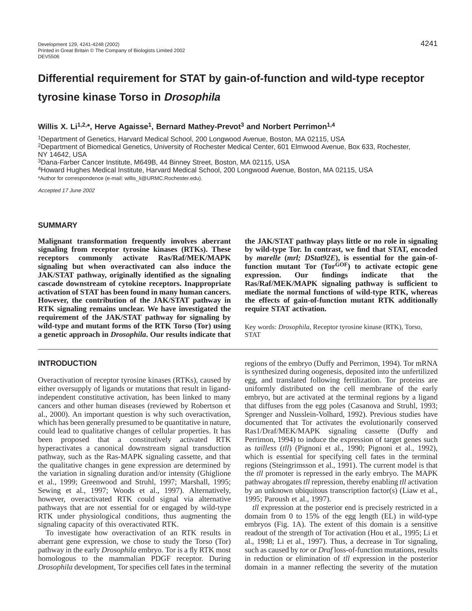# **Differential requirement for STAT by gain-of-function and wild-type receptor tyrosine kinase Torso in Drosophila**

#### **Willis X. Li1,2,\*, Herve Agaisse1, Bernard Mathey-Prevot3 and Norbert Perrimon1,4**

1Department of Genetics, Harvard Medical School, 200 Longwood Avenue, Boston, MA 02115, USA 2Department of Biomedical Genetics, University of Rochester Medical Center, 601 Elmwood Avenue, Box 633, Rochester, NY 14642, USA

3Dana-Farber Cancer Institute, M649B, 44 Binney Street, Boston, MA 02115, USA

4Howard Hughes Medical Institute, Harvard Medical School, 200 Longwood Avenue, Boston, MA 02115, USA \*Author for correspondence (e-mail: willis\_li@URMC.Rochester.edu).

Accepted 17 June 2002

## **SUMMARY**

**Malignant transformation frequently involves aberrant signaling from receptor tyrosine kinases (RTKs). These receptors commonly activate Ras/Raf/MEK/MAPK signaling but when overactivated can also induce the JAK/STAT pathway, originally identified as the signaling cascade downstream of cytokine receptors. Inappropriate activation of STAT has been found in many human cancers. However, the contribution of the JAK/STAT pathway in RTK signaling remains unclear. We have investigated the requirement of the JAK/STAT pathway for signaling by wild-type and mutant forms of the RTK Torso (Tor) using a genetic approach in** *Drosophila***. Our results indicate that**

#### **INTRODUCTION**

Overactivation of receptor tyrosine kinases (RTKs), caused by either oversupply of ligands or mutations that result in ligandindependent constitutive activation, has been linked to many cancers and other human diseases (reviewed by Robertson et al., 2000). An important question is why such overactivation, which has been generally presumed to be quantitative in nature, could lead to qualitative changes of cellular properties. It has been proposed that a constitutively activated RTK hyperactivates a canonical downstream signal transduction pathway, such as the Ras-MAPK signaling cassette, and that the qualitative changes in gene expression are determined by the variation in signaling duration and/or intensity (Ghiglione et al., 1999; Greenwood and Struhl, 1997; Marshall, 1995; Sewing et al., 1997; Woods et al., 1997). Alternatively, however, overactivated RTK could signal via alternative pathways that are not essential for or engaged by wild-type RTK under physiological conditions, thus augmenting the signaling capacity of this overactivated RTK.

To investigate how overactivation of an RTK results in aberrant gene expression, we chose to study the Torso (Tor) pathway in the early *Drosophila* embryo. Tor is a fly RTK most homologous to the mammalian PDGF receptor. During *Drosophila* development, Tor specifies cell fates in the terminal

**the JAK/STAT pathway plays little or no role in signaling by wild-type Tor. In contrast, we find that STAT, encoded by** *marelle* **(***mrl; DStat92E***), is essential for the gain-offunction mutant Tor (TorGOF) to activate ectopic gene expression. Our findings indicate that the Ras/Raf/MEK/MAPK signaling pathway is sufficient to mediate the normal functions of wild-type RTK, whereas the effects of gain-of-function mutant RTK additionally require STAT activation.** 

Key words: *Drosophila*, Receptor tyrosine kinase (RTK), Torso, **STAT** 

regions of the embryo (Duffy and Perrimon, 1994). Tor mRNA is synthesized during oogenesis, deposited into the unfertilized egg, and translated following fertilization. Tor proteins are uniformly distributed on the cell membrane of the early embryo, but are activated at the terminal regions by a ligand that diffuses from the egg poles (Casanova and Struhl, 1993; Sprenger and Nusslein-Volhard, 1992). Previous studies have documented that Tor activates the evolutionarily conserved Ras1/Draf/MEK/MAPK signaling cassette (Duffy and Perrimon, 1994) to induce the expression of target genes such as *tailless* (*tll*) (Pignoni et al., 1990; Pignoni et al., 1992), which is essential for specifying cell fates in the terminal regions (Steingrimsson et al., 1991). The current model is that the *tll* promoter is repressed in the early embryo. The MAPK pathway abrogates *tll* repression, thereby enabling *tll* activation by an unknown ubiquitous transcription factor(s) (Liaw et al., 1995; Paroush et al., 1997).

*tll* expression at the posterior end is precisely restricted in a domain from 0 to 15% of the egg length (EL) in wild-type embryos (Fig. 1A). The extent of this domain is a sensitive readout of the strength of Tor activation (Hou et al., 1995; Li et al., 1998; Li et al., 1997). Thus, a decrease in Tor signaling, such as caused by *tor* or *Draf* loss-of-function mutations, results in reduction or elimination of *tll* expression in the posterior domain in a manner reflecting the severity of the mutation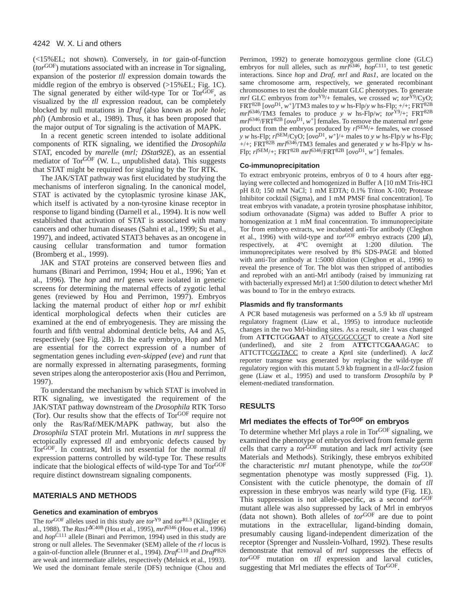(<15%EL; not shown). Conversely, in *tor* gain-of-function (*tor*GOF) mutations associated with an increase in Tor signaling, expansion of the posterior *tll* expression domain towards the middle region of the embryo is observed (>15%EL; Fig. 1C). The signal generated by either wild-type Tor or Tor<sup>GOF</sup>, as visualized by the *tll* expression readout, can be completely blocked by null mutations in *Draf* (also known as *pole hole*; *phl*) (Ambrosio et al., 1989). Thus, it has been proposed that the major output of Tor signaling is the activation of MAPK.

In a recent genetic screen intended to isolate additional components of RTK signaling, we identified the *Drosophila* STAT, encoded by *marelle* (*mrl; DStat92E*), as an essential mediator of Tor $G$ <sup>OF</sup> (W. L., unpublished data). This suggests that STAT might be required for signaling by the Tor RTK.

The JAK/STAT pathway was first elucidated by studying the mechanisms of interferon signaling. In the canonical model, STAT is activated by the cytoplasmic tyrosine kinase JAK, which itself is activated by a non-tyrosine kinase receptor in response to ligand binding (Darnell et al., 1994). It is now well established that activation of STAT is associated with many cancers and other human diseases (Sahni et al., 1999; Su et al., 1997), and indeed, activated STAT3 behaves as an oncogene in causing cellular transformation and tumor formation (Bromberg et al., 1999).

JAK and STAT proteins are conserved between flies and humans (Binari and Perrimon, 1994; Hou et al., 1996; Yan et al., 1996). The *hop* and *mrl* genes were isolated in genetic screens for determining the maternal effects of zygotic lethal genes (reviewed by Hou and Perrimon, 1997). Embryos lacking the maternal product of either *hop* or *mrl* exhibit identical morphological defects when their cuticles are examined at the end of embryogenesis. They are missing the fourth and fifth ventral abdominal denticle belts, A4 and A5, respectively (see Fig. 2B). In the early embryo, Hop and Mrl are essential for the correct expression of a number of segmentation genes including *even-skipped* (*eve*) and *runt* that are normally expressed in alternating parasegments, forming seven stripes along the anteroposterior axis (Hou and Perrimon, 1997).

To understand the mechanism by which STAT is involved in RTK signaling, we investigated the requirement of the JAK/STAT pathway downstream of the *Drosophila* RTK Torso (Tor). Our results show that the effects of TorGOF require not only the Ras/Raf/MEK/MAPK pathway, but also the *Drosophila* STAT protein Mrl. Mutations in *mrl* suppress the ectopically expressed *tll* and embryonic defects caused by TorGOF. In contrast, Mrl is not essential for the normal *tll* expression patterns controlled by wild-type Tor. These results indicate that the biological effects of wild-type Tor and Tor<sup>GOF</sup> require distinct downstream signaling components.

## **MATERIALS AND METHODS**

## **Genetics and examination of embryos**

The *tor*GOF alleles used in this study are *tor*Y9 and *tor*RL3 (Klingler et al., 1988). The *Ras1*<sup>∆</sup>C40B (Hou et al., 1995), *mrl*<sup>6346</sup> (Hou et al., 1996) and *hop*C111 allele (Binari and Perrimon, 1994) used in this study are strong or null alleles. The Sevenmaker (SEM) allele of the *rl* locus is a gain-of-function allele (Brunner et al., 1994). *Draf*C110 and *Draf*PB26 are weak and intermediate alleles, respectively (Melnick et al., 1993). We used the dominant female sterile (DFS) technique (Chou and

Perrimon, 1992) to generate homozygous germline clone (GLC) embryos for null alleles, such as  $mr^{16346}$ ,  $hop^{C111}$ , to test genetic interactions. Since *hop* and *Draf*, *mrl* and *Ras1*, are located on the same chromosome arm, respectively, we generated recombinant chromosomes to test the double mutant GLC phenotypes. To generate *mrl* GLC embryos from  $tor^{Y9}/+$  females, we crossed *w*;  $tor^{Y9}/CyO$ ; FRT<sup>82B</sup> [ $ovo<sup>D1</sup>$ ,  $w<sup>+</sup>$ ]/TM3 males to *y w* hs-Flp/*y w* hs-Flp; +/+; FRT<sup>82B</sup> *mrl*6346/TM3 females to produce *y w* hs-Flp/*w*; *tor*Y9/+; FRT82B *mrl*6346/FRT82B [*ovo*D1, *w*+] females. To remove the maternal *mrl* gene product from the embryos produced by *rl*SEM/+ females, we crossed *y w* hs-Flp;  $r^{JSEM/CyO}$ ;  $[ov^{D1}, w^+]$ /+ males to *y w* hs-Flp/*y w* hs-Flp;  $_{+/+}$ ; FRT<sup>82B</sup>  $mrl^{6346}/TM3$  females and generated *y w* hs-Flp/*y w* hs- $F$ lp;  $r^{SEM}/+$ ; FRT<sup>82B</sup> *mrl*<sup>6346</sup>/FRT<sup>82B</sup> [ $\omega \omega^{D1}$ ,  $w^{+}$ ] females.

#### **Co-immunoprecipitation**

To extract embryonic proteins, embryos of 0 to 4 hours after egglaying were collected and homogenized in Buffer A [10 mM Tris-HCl pH 8.0; 150 mM NaCl; 1 mM EDTA; 0.1% Triton X-100; Protease Inhibitor cocktail (Sigma), and 1 mM PMSF final concentration]. To treat embryos with vanadate, a protein tyrosine phosphatase inhibitor, sodium orthovanadate (Sigma) was added to Buffer A prior to homogenization at 1 mM final concentration. To immunoprecipitate Tor from embryo extracts, we incubated anti-Tor antibody (Cleghon et al., 1996) with wild-type and *tor*GOF embryo extracts (200 µl), respectively, at 4°C overnight at 1:200 dilution. The immunoprecipitates were resolved by 8% SDS-PAGE and blotted with anti-Tor antibody at 1:5000 dilution (Cleghon et al., 1996) to reveal the presence of Tor. The blot was then stripped of antibodies and reprobed with an anti-Mrl antibody (raised by immunizing rat with bacterially expressed Mrl) at 1:500 dilution to detect whether Mrl was bound to Tor in the embryo extracts.

#### **Plasmids and fly transformants**

A PCR based mutagenesis was performed on a 5.9 kb *tll* upstream regulatory fragment (Liaw et al., 1995) to introduce nucleotide changes in the two Mrl-binding sites. As a result, site 1 was changed from A**TTC**TGG**GAA**T to ATGCGGCCGCT to create a *Not*I site (underlined), and site 2 from A**TTC**TTC**GAA**AGAC to ATTCTTCGGTACC to create a *Kpn*I site (underlined). A *lacZ* reporter transgene was generated by replacing the wild-type *tll* regulatory region with this mutant 5.9 kb fragment in a *tll*-*lacZ* fusion gene (Liaw et al., 1995) and used to transform *Drosophila* by P element-mediated transformation.

## **RESULTS**

## **Mrl mediates the effects of TorGOF on embryos**

To determine whether Mrl plays a role in Tor<sup>GOF</sup> signaling, we examined the phenotype of embryos derived from female germ cells that carry a *tor*GOF mutation and lack *mrl* activity (see Materials and Methods). Strikingly, these embryos exhibited the characteristic *mrl* mutant phenotype, while the *tor*GOF segmentation phenotype was mostly suppressed (Fig. 1). Consistent with the cuticle phenotype, the domain of *tll* expression in these embryos was nearly wild type (Fig. 1E). This suppression is not allele-specific, as a second *tor*GOF mutant allele was also suppressed by lack of Mrl in embryos (data not shown). Both alleles of *tor*GOF are due to point mutations in the extracellular, ligand-binding domain, presumably causing ligand-independent dimerization of the receptor (Sprenger and Nusslein-Volhard, 1992). These results demonstrate that removal of *mrl* suppresses the effects of *tor*GOF mutation on *tll* expression and larval cuticles, suggesting that Mrl mediates the effects of Tor<sup>GOF</sup>.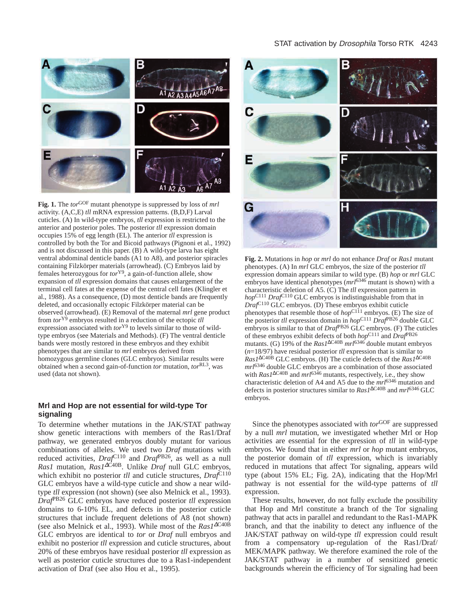## STAT activation by *Drosophila* Torso RTK 4243



**Fig. 1.** The *tor*GOF mutant phenotype is suppressed by loss of *mrl* activity. (A,C,E) *tll* mRNA expression patterns. (B,D,F) Larval cuticles. (A) In wild-type embryos, *tll* expression is restricted to the anterior and posterior poles. The posterior *tll* expression domain occupies 15% of egg length (EL). The anterior *tll* expression is controlled by both the Tor and Bicoid pathways (Pignoni et al., 1992) and is not discussed in this paper. (B) A wild-type larva has eight ventral abdominal denticle bands (A1 to A8), and posterior spiracles containing Filzkörper materials (arrowhead). (C) Embryos laid by females heterozygous for *tor*Y9, a gain-of-function allele, show expansion of *tll* expression domains that causes enlargement of the terminal cell fates at the expense of the central cell fates (Klingler et al., 1988). As a consequence, (D) most denticle bands are frequently deleted, and occasionally ectopic Filzkörper material can be observed (arrowhead). (E) Removal of the maternal *mrl* gene product from *tor*Y9 embryos resulted in a reduction of the ectopic *tll* expression associated with *tor*Y9 to levels similar to those of wildtype embryos (see Materials and Methods). (F) The ventral denticle bands were mostly restored in these embryos and they exhibit phenotypes that are similar to *mrl* embryos derived from homozygous germline clones (GLC embryos). Similar results were obtained when a second gain-of-function *tor* mutation, *tor*RL3, was used (data not shown).

## **Mrl and Hop are not essential for wild-type Tor signaling**

To determine whether mutations in the JAK/STAT pathway show genetic interactions with members of the Ras1/Draf pathway, we generated embryos doubly mutant for various combinations of alleles. We used two *Draf* mutations with reduced activities, *Draf*<sup>C110</sup> and *Draf*<sup>PB26</sup>, as well as a null *Ras1* mutation, *Ras1*∆C<sup>40B</sup>. Unlike *Draf* null GLC embryos, which exhibit no posterior *tll* and cuticle structures,  $Draf^{C110}$ GLC embryos have a wild-type cuticle and show a near wildtype *tll* expression (not shown) (see also Melnick et al., 1993). *Draf*PB26 GLC embryos have reduced posterior *tll* expression domains to 6-10% EL, and defects in the posterior cuticle structures that include frequent deletions of A8 (not shown) (see also Melnick et al., 1993). While most of the *Ras1*<sup>∆</sup>C40B GLC embryos are identical to *tor* or *Draf* null embryos and exhibit no posterior *tll* expression and cuticle structures, about 20% of these embryos have residual posterior *tll* expression as well as posterior cuticle structures due to a Ras1-independent activation of Draf (see also Hou et al., 1995).



**Fig. 2.** Mutations in *hop* or *mrl* do not enhance *Draf* or *Ras1* mutant phenotypes. (A) In *mrl* GLC embryos, the size of the posterior *tll* expression domain appears similar to wild type. (B) *hop* or *mrl* GLC embryos have identical phenotypes (*mrl*<sup>6346</sup> mutant is shown) with a characteristic deletion of A5. (C) The *tll* expression pattern in *hop*C111 *Draf*C110 GLC embryos is indistinguishable from that in *Draf*C110 GLC embryos. (D) These embryos exhibit cuticle phenotypes that resemble those of *hop*<sup>C111</sup> embryos. (E) The size of the posterior *tll* expression domain in *hop*C111 *Draf*PB26 double GLC embryos is similar to that of *Draf*<sup>PB26</sup> GLC embryos. (F) The cuticles of these embryos exhibit defects of both *hop*C111 and *Draf*PB26 mutants. (G) 19% of the *Ras1*∆C40B *mrl*<sup>6346</sup> double mutant embryos (*n*=18/97) have residual posterior *tll* expression that is similar to *Ras1*∆C40B GLC embryos. (H) The cuticle defects of the *Ras1*∆C40B *mrl*<sup>6346</sup> double GLC embryos are a combination of those associated with *Ras1*∆C40B and *mrl*<sup>6346</sup> mutants, respectively, i.e., they show characteristic deletion of A4 and A5 due to the *mrl*<sup>6346</sup> mutation and defects in posterior structures similar to *Ras1*∆C40B and *mrl*6346 GLC embryos.

Since the phenotypes associated with *tor*GOF are suppressed by a null *mrl* mutation, we investigated whether Mrl or Hop activities are essential for the expression of *tll* in wild-type embryos. We found that in either *mrl* or *hop* mutant embryos, the posterior domain of *tll* expression, which is invariably reduced in mutations that affect Tor signaling, appears wild type (about 15% EL; Fig. 2A), indicating that the Hop/Mrl pathway is not essential for the wild-type patterns of *tll* expression.

These results, however, do not fully exclude the possibility that Hop and Mrl constitute a branch of the Tor signaling pathway that acts in parallel and redundant to the Ras1-MAPK branch, and that the inability to detect any influence of the JAK/STAT pathway on wild-type *tll* expression could result from a compensatory up-regulation of the Ras1/Draf/ MEK/MAPK pathway. We therefore examined the role of the JAK/STAT pathway in a number of sensitized genetic backgrounds wherein the efficiency of Tor signaling had been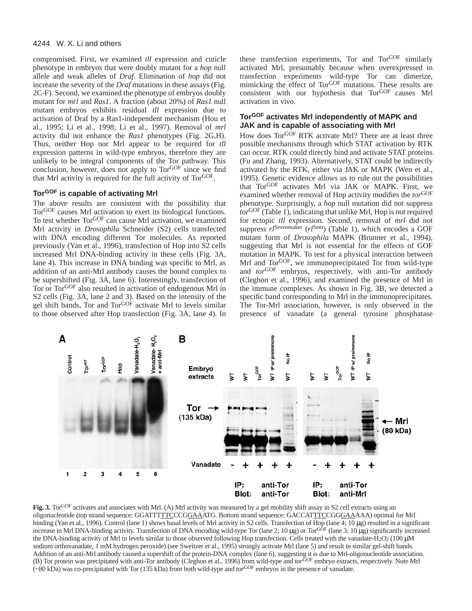compromised. First, we examined *tll* expression and cuticle phenotype in embryos that were doubly mutant for a *hop* null allele and weak alleles of *Draf*. Elimination of *hop* did not increase the severity of the *Draf* mutations in these assays (Fig. 2C-F). Second, we examined the phenotype of embryos doubly mutant for *mrl* and *Ras1*. A fraction (about 20%) of *Ras1* null mutant embryos exhibits residual *tll* expression due to activation of Draf by a Ras1-independent mechanism (Hou et al., 1995; Li et al., 1998; Li et al., 1997). Removal of *mrl* activity did not enhance the *Ras1* phenotypes (Fig. 2G,H). Thus, neither Hop nor Mrl appear to be required for *tll* expression patterns in wild-type embryos, therefore they are unlikely to be integral components of the Tor pathway. This conclusion, however, does not apply to Tor<sup>GOF</sup> since we find that Mrl activity is required for the full activity of TorGOF.

## **TorGOF is capable of activating Mrl**

The above results are consistent with the possibility that TorGOF causes Mrl activation to exert its biological functions. To test whether Tor<sup>GOF</sup> can cause Mrl activation, we examined Mrl activity in *Drosophila* Schneider (S2) cells transfected with DNA encoding different Tor molecules. As reported previously (Yan et al., 1996), transfection of Hop into S2 cells increased Mrl DNA-binding activity in these cells (Fig. 3A, lane 4). This increase in DNA binding was specific to Mrl, as addition of an anti-Mrl antibody causes the bound complex to be supershifted (Fig. 3A, lane 6). Interestingly, transfection of Tor or TorGOF also resulted in activation of endogenous Mrl in S2 cells (Fig. 3A, lane 2 and 3). Based on the intensity of the gel shift bands, Tor and Tor<sup>GOF</sup> activate Mrl to levels similar to those observed after Hop transfection (Fig. 3A, lane 4). In

these transfection experiments, Tor and TorGOF similarly activated Mrl, presumably because when overexpressed in transfection experiments wild-type Tor can dimerize, mimicking the effect of Tor<sup>GOF</sup> mutations. These results are consistent with our hypothesis that Tor<sup>GOF</sup> causes Mrl activation in vivo.

## **TorGOF activates Mrl independently of MAPK and JAK and is capable of associating with Mrl**

How does TorGOF RTK activate Mrl? There are at least three possible mechanisms through which STAT activation by RTK can occur. RTK could directly bind and activate STAT proteins (Fu and Zhang, 1993). Alternatively, STAT could be indirectly activated by the RTK, either via JAK or MAPK (Wen et al., 1995). Genetic evidence allows us to rule out the possibilities that TorGOF activates Mrl via JAK or MAPK. First, we examined whether removal of Hop activity modifies the *tor*GOF phenotype. Surprisingly, a *hop* null mutation did not suppress *tor*GOF (Table 1), indicating that unlike Mrl, Hop is not required for ectopic *tll* expression. Second, removal of *mrl* did not suppress  $r l$ <sup>Sevenmaker</sup> ( $r l$ <sup>Sem</sup>) (Table 1), which encodes a GOF mutant form of *Drosophila* MAPK (Brunner et al., 1994), suggesting that Mrl is not essential for the effects of GOF mutation in MAPK. To test for a physical interaction between Mrl and TorGOF, we immunoprecipitated Tor from wild-type and *tor*GOF embryos, respectively, with anti-Tor antibody (Cleghon et al., 1996), and examined the presence of Mrl in the immune complexes. As shown in Fig. 3B, we detected a specific band corresponding to Mrl in the immunoprecipitates. The Tor-Mrl association, however, is only observed in the presence of vanadate (a general tyrosine phosphatase



**Fig. 3.** Tor<sup>GOF</sup> activates and associates with Mrl. (A) Mrl activity was measured by a gel mobility shift assay in S2 cell extracts using an oligonucleotide (top strand sequence: GGATTTTTCCCGGAAATG. Bottom strand sequence: GACCATTTCCGGGAAAAA) optimal for Mrl binding (Yan et al., 1996). Control (lane 1) shows basal levels of Mrl activity in S2 cells. Transfection of Hop (lane 4; 10 µg) resulted in a significant increase in Mrl DNA-binding activity. Transfection of DNA encoding wild-type Tor (lane 2; 10 µg) or Tor<sup>GOF</sup> (lane 3; 10 µg) significantly increased the DNA-binding activity of Mrl to levels similar to those observed following Hop transfection. Cells treated with the vanadate-H<sub>2</sub>O<sub>2</sub> (100 µM) sodium orthovanadate, 1 mM hydrogen peroxide) (see Sweitzer et al., 1995) strongly activate Mrl (lane 5) and result in similar gel-shift bands. Addition of an anti-Mrl antibody caused a supershift of the protein-DNA complex (lane 6), suggesting it is due to Mrl-oligonucleotide association. (B) Tor protein was precipitated with anti-Tor antibody (Cleghon et al., 1996) from wild-type and *tor*GOF embryo extracts, respectively. Note Mrl (~80 kDa) was co-precipitated with Tor (135 kDa) from both wild-type and *tor*GOF embryos in the presence of vanadate.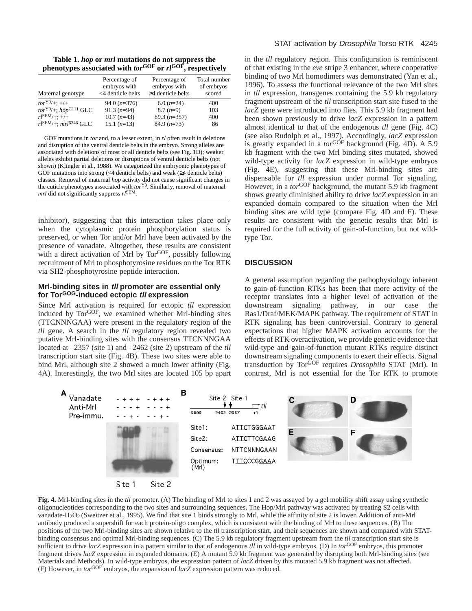**Table 1.** *hop* **or** *mrl* **mutations do not suppress the phenotypes associated with** *tor***GOF or** *rl***GOF, respectively**

| Maternal genotype                      | Percentage of<br>embryos with<br><4 denticle belts | Percentage of<br>embryos with<br>$\geq$ 4 denticle belts | Total number<br>of embryos<br>scored |
|----------------------------------------|----------------------------------------------------|----------------------------------------------------------|--------------------------------------|
| $tor^{Y9}/+:+/+$                       | $94.0 (n=376)$                                     | $6.0(n=24)$                                              | 400                                  |
| $torY9/+$ ; $hopC111 GLC$              | $91.3(n=94)$                                       | $8.7(n=9)$                                               | 103                                  |
| $rl^{\rm SEM}_{/+}: +/+$               | $10.7 (n=43)$                                      | $89.3(n=357)$                                            | 400                                  |
| $rl^{\text{SEM}}/+$ ; $mrl^{6346}$ GLC | $15.1 (n=13)$                                      | $84.9 (n=73)$                                            | 86                                   |

GOF mutations in *tor* and, to a lesser extent, in *rl* often result in deletions and disruption of the ventral denticle belts in the embryo. Strong alleles are associated with deletions of most or all denticle belts (see Fig. 1D); weaker alleles exhibit partial deletions or disruptions of ventral denticle belts (not shown) (Klingler et al., 1988). We categorized the embryonic phenotypes of GOF mutations into strong (<4 denticle belts) and weak (≥4 denticle belts) classes. Removal of maternal *hop* activity did not cause significant changes in the cuticle phenotypes associated with *tor*Y9. Similarly, removal of maternal *mrl* did not significantly suppress *rl*SEM.

inhibitor), suggesting that this interaction takes place only when the cytoplasmic protein phosphorylation status is preserved, or when Tor and/or Mrl have been activated by the presence of vanadate. Altogether, these results are consistent with a direct activation of Mrl by Tor<sup>GOF</sup>, possibly following recruitment of Mrl to phosphotyrosine residues on the Tor RTK via SH2-phosphotyrosine peptide interaction.

### **Mrl-binding sites in tll promoter are essential only for TorGOG-induced ectopic tll expression**

Since Mrl activation is required for ectopic *tll* expression induced by TorGOF, we examined whether Mrl-binding sites (TTCNNNGAA) were present in the regulatory region of the *tll* gene. A search in the *tll* regulatory region revealed two putative Mrl-binding sites with the consensus TTCNNNGAA located at –2357 (site 1) and –2462 (site 2) upstream of the *tll* transcription start site (Fig. 4B). These two sites were able to bind Mrl, although site 2 showed a much lower affinity (Fig. 4A). Interestingly, the two Mrl sites are located 105 bp apart

in the *tll* regulatory region. This configuration is reminiscent of that existing in the *eve* stripe 3 enhancer, where cooperative binding of two Mrl homodimers was demonstrated (Yan et al., 1996). To assess the functional relevance of the two Mrl sites in *tll* expression, transgenes containing the 5.9 kb regulatory fragment upstream of the *tll* transcription start site fused to the *lacZ* gene were introduced into flies. This 5.9 kb fragment had been shown previously to drive *lacZ* expression in a pattern almost identical to that of the endogenous *tll* gene (Fig. 4C) (see also Rudolph et al., 1997). Accordingly, *lacZ* expression is greatly expanded in a *tor*GOF background (Fig. 4D). A 5.9 kb fragment with the two Mrl binding sites mutated, showed wild-type activity for *lacZ* expression in wild-type embryos (Fig. 4E), suggesting that these Mrl-binding sites are dispensable for *tll* expression under normal Tor signaling. However, in a *tor*<sup>GOF</sup> background, the mutant 5.9 kb fragment shows greatly diminished ability to drive *lacZ* expression in an expanded domain compared to the situation when the Mrl binding sites are wild type (compare Fig. 4D and F). These results are consistent with the genetic results that Mrl is required for the full activity of gain-of-function, but not wildtype Tor.

## **DISCUSSION**

A general assumption regarding the pathophysiology inherent to gain-of-function RTKs has been that more activity of the receptor translates into a higher level of activation of the downstream signaling pathway, in our case the Ras1/Draf/MEK/MAPK pathway. The requirement of STAT in RTK signaling has been controversial. Contrary to general expectations that higher MAPK activation accounts for the effects of RTK overactivation, we provide genetic evidence that wild-type and gain-of-function mutant RTKs require distinct downstream signaling components to exert their effects. Signal transduction by TorGOF requires *Drosophila* STAT (Mrl). In contrast, Mrl is not essential for the Tor RTK to promote



**Fig. 4.** Mrl-binding sites in the *tll* promoter. (A) The binding of Mrl to sites 1 and 2 was assayed by a gel mobility shift assay using synthetic oligonucleotides corresponding to the two sites and surrounding sequences. The Hop/Mrl pathway was activated by treating S2 cells with vanadate-H2O2 (Sweitzer et al., 1995). We find that site 1 binds strongly to Mrl, while the affinity of site 2 is lower. Addition of anti-Mrl antibody produced a supershift for each protein-oligo complex, which is consistent with the binding of Mrl to these sequences. (B) The positions of the two Mrl-binding sites are shown relative to the *tll* transcription start, and their sequences are shown and compared with STATbinding consensus and optimal Mrl-binding sequences. (C) The 5.9 kb regulatory fragment upstream from the *tll* transcription start site is sufficient to drive *lacZ* expression in a pattern similar to that of endogenous *tll* in wild-type embryos. (D) In *tor*GOF embryos, this promoter fragment drives *lacZ* expression in expanded domains. (E) A mutant 5.9 kb fragment was generated by disrupting both Mrl-binding sites (see Materials and Methods). In wild-type embryos, the expression pattern of *lacZ* driven by this mutated 5.9 kb fragment was not affected. (F) However, in *tor*GOF embryos, the expansion of *lacZ* expression pattern was reduced.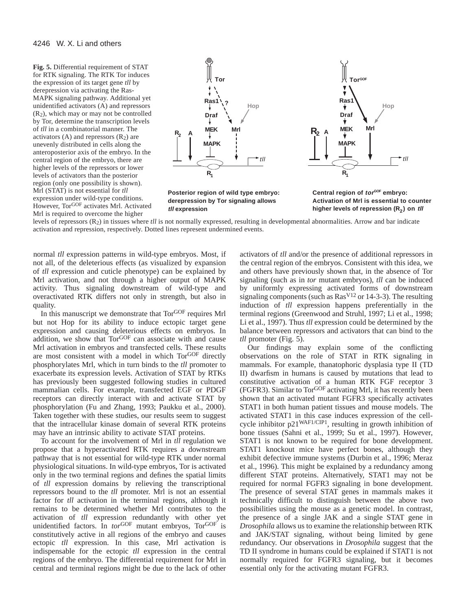**Fig. 5.** Differential requirement of STAT for RTK signaling. The RTK Tor induces the expression of its target gene *tll* by derepression via activating the Ras-MAPK signaling pathway. Additional yet unidentified activators (A) and repressors (R2), which may or may not be controlled by Tor, determine the transcription levels of *tll* in a combinatorial manner. The activators  $(A)$  and repressors  $(R<sub>2</sub>)$  are unevenly distributed in cells along the anteroposterior axis of the embryo. In the central region of the embryo, there are higher levels of the repressors or lower levels of activators than the posterior region (only one possibility is shown). Mrl (STAT) is not essential for *tll* expression under wild-type conditions. However, TorGOF activates Mrl. Activated Mrl is required to overcome the higher



levels of repressors (R2) in tissues where *tll* is not normally expressed, resulting in developmental abnormalities. Arrow and bar indicate activation and repression, respectively. Dotted lines represent undermined events.

normal *tll* expression patterns in wild-type embryos. Most, if not all, of the deleterious effects (as visualized by expansion of *tll* expression and cuticle phenotype) can be explained by Mrl activation, and not through a higher output of MAPK activity. Thus signaling downstream of wild-type and overactivated RTK differs not only in strength, but also in quality.

In this manuscript we demonstrate that Tor<sup>GOF</sup> requires Mrl but not Hop for its ability to induce ectopic target gene expression and causing deleterious effects on embryos. In addition, we show that TorGOF can associate with and cause Mrl activation in embryos and transfected cells. These results are most consistent with a model in which Tor<sup>GOF</sup> directly phosphorylates Mrl, which in turn binds to the *tll* promoter to exacerbate its expression levels. Activation of STAT by RTKs has previously been suggested following studies in cultured mammalian cells. For example, transfected EGF or PDGF receptors can directly interact with and activate STAT by phosphorylation (Fu and Zhang, 1993; Paukku et al., 2000). Taken together with these studies, our results seem to suggest that the intracellular kinase domain of several RTK proteins may have an intrinsic ability to activate STAT proteins.

To account for the involvement of Mrl in *tll* regulation we propose that a hyperactivated RTK requires a downstream pathway that is not essential for wild-type RTK under normal physiological situations. In wild-type embryos, Tor is activated only in the two terminal regions and defines the spatial limits of *tll* expression domains by relieving the transcriptional repressors bound to the *tll* promoter. Mrl is not an essential factor for *tll* activation in the terminal regions, although it remains to be determined whether Mrl contributes to the activation of *tll* expression redundantly with other yet unidentified factors. In *tor*GOF mutant embryos, TorGOF is constitutively active in all regions of the embryo and causes ectopic *tll* expression. In this case, Mrl activation is indispensable for the ectopic *tll* expression in the central regions of the embryo. The differential requirement for Mrl in central and terminal regions might be due to the lack of other

activators of *tll* and/or the presence of additional repressors in the central region of the embryos. Consistent with this idea, we and others have previously shown that, in the absence of Tor signaling (such as in *tor* mutant embryos), *tll* can be induced by uniformly expressing activated forms of downstream signaling components (such as  $\text{Ras}^{\text{V12}}$  or 14-3-3). The resulting induction of *tll* expression happens preferentially in the terminal regions (Greenwood and Struhl, 1997; Li et al., 1998; Li et al., 1997). Thus *tll* expression could be determined by the balance between repressors and activators that can bind to the *tll* promoter (Fig. 5).

Our findings may explain some of the conflicting observations on the role of STAT in RTK signaling in mammals. For example, thanatophoric dysplasia type II (TD II) dwarfism in humans is caused by mutations that lead to constitutive activation of a human RTK FGF receptor 3 (FGFR3). Similar to TorGOF activating Mrl, it has recently been shown that an activated mutant FGFR3 specifically activates STAT1 in both human patient tissues and mouse models. The activated STAT1 in this case induces expression of the cellcycle inhibitor p21WAF1/CIP1, resulting in growth inhibition of bone tissues (Sahni et al., 1999; Su et al., 1997). However, STAT1 is not known to be required for bone development. STAT1 knockout mice have perfect bones, although they exhibit defective immune systems (Durbin et al., 1996; Meraz et al., 1996). This might be explained by a redundancy among different STAT proteins. Alternatively, STAT1 may not be required for normal FGFR3 signaling in bone development. The presence of several STAT genes in mammals makes it technically difficult to distinguish between the above two possibilities using the mouse as a genetic model. In contrast, the presence of a single JAK and a single STAT gene in *Drosophila* allows us to examine the relationship between RTK and JAK/STAT signaling, without being limited by gene redundancy. Our observations in *Drosophila* suggest that the TD II syndrome in humans could be explained if STAT1 is not normally required for FGFR3 signaling, but it becomes essential only for the activating mutant FGFR3.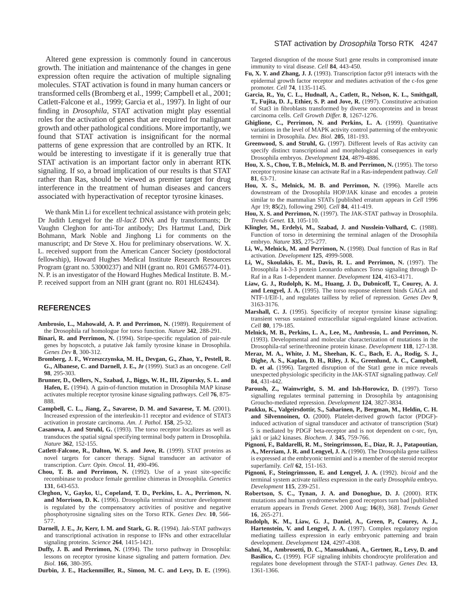Altered gene expression is commonly found in cancerous growth. The initiation and maintenance of the changes in gene expression often require the activation of multiple signaling molecules. STAT activation is found in many human cancers or transformed cells (Bromberg et al., 1999; Campbell et al., 2001; Catlett-Falcone et al., 1999; Garcia et al., 1997). In light of our finding in *Drosophila*, STAT activation might play essential roles for the activation of genes that are required for malignant growth and other pathological conditions. More importantly, we found that STAT activation is insignificant for the normal patterns of gene expression that are controlled by an RTK. It would be interesting to investigate if it is generally true that STAT activation is an important factor only in aberrant RTK signaling. If so, a broad implication of our results is that STAT rather than Ras, should be viewed as premier target for drug interference in the treatment of human diseases and cancers associated with hyperactivation of receptor tyrosine kinases.

We thank Min Li for excellent technical assistance with protein gels; Dr Judith Lengyel for the *tll*-*lacZ* DNA and fly transformants; Dr Vaughn Cleghon for anti-Tor antibody; Drs Hartmut Land, Dirk Bohmann, Mark Noble and Jinghong Li for comments on the manuscript; and Dr Steve X. Hou for preliminary observations. W. X. L. received support from the American Cancer Society (postdoctoral fellowship), Howard Hughes Medical Institute Research Resources Program (grant no. 53000237) and NIH (grant no. R01 GM65774-01). N. P. is an investigator of the Howard Hughes Medical Institute. B. M.- P. received support from an NIH grant (grant no. R01 HL62434).

#### **REFERENCES**

- **Ambrosio, L., Mahowald, A. P. and Perrimon, N.** (1989). Requirement of the Drosophila raf homologue for torso function. *Nature* **342**, 288-291.
- **Binari, R. and Perrimon, N.** (1994). Stripe-specific regulation of pair-rule genes by hopscotch, a putative Jak family tyrosine kinase in Drosophila. *Genes Dev* **8**, 300-312.
- **Bromberg, J. F., Wrzeszczynska, M. H., Devgan, G., Zhao, Y., Pestell, R. G., Albanese, C. and Darnell, J. E., Jr** (1999). Stat3 as an oncogene. *Cell* **98**, 295-303.
- **Brunner, D., Oellers, N., Szabad, J., Biggs, W. H., III, Zipursky, S. L. and Hafen, E.** (1994). A gain-of-function mutation in Drosophila MAP kinase activates multiple receptor tyrosine kinase signaling pathways. *Cell* **76**, 875- 888.
- **Campbell, C. L., Jiang, Z., Savarese, D. M. and Savarese, T. M.** (2001). Increased expression of the interleukin-11 receptor and evidence of STAT3 activation in prostate carcinoma. *Am. J. Pathol.* **158**, 25-32.
- **Casanova, J. and Struhl, G.** (1993). The torso receptor localizes as well as transduces the spatial signal specifying terminal body pattern in Drosophila. *Nature* **362**, 152-155.
- **Catlett-Falcone, R., Dalton, W. S. and Jove, R.** (1999). STAT proteins as novel targets for cancer therapy. Signal transducer an activator of transcription. *Curr. Opin. Oncol.* **11**, 490-496.
- **Chou, T. B. and Perrimon, N.** (1992). Use of a yeast site-specific recombinase to produce female germline chimeras in Drosophila. *Genetics* **131**, 643-653.
- **Cleghon, V., Gayko, U., Copeland, T. D., Perkins, L. A., Perrimon, N. and Morrison, D. K.** (1996). Drosophila terminal structure development is regulated by the compensatory activities of positive and negative phosphotyrosine signaling sites on the Torso RTK. *Genes Dev.* **10**, 566- 577.
- **Darnell, J. E., Jr, Kerr, I. M. and Stark, G. R.** (1994). Jak-STAT pathways and transcriptional activation in response to IFNs and other extracellular signaling proteins. *Science* **264**, 1415-1421.
- **Duffy, J. B. and Perrimon, N.** (1994). The torso pathway in Drosophila: lessons on receptor tyrosine kinase signaling and pattern formation. *Dev. Biol.* **166**, 380-395.

**Durbin, J. E., Hackenmiller, R., Simon, M. C. and Levy, D. E.** (1996).

Targeted disruption of the mouse Stat1 gene results in compromised innate immunity to viral disease. *Cell* **84**, 443-450.

- **Fu, X. Y. and Zhang, J. J.** (1993). Transcription factor p91 interacts with the epidermal growth factor receptor and mediates activation of the c-fos gene promoter. *Cell* **74**, 1135-1145.
- **Garcia, R., Yu, C. L., Hudnall, A., Catlett, R., Nelson, K. L., Smithgall, T., Fujita, D. J., Ethier, S. P. and Jove, R.** (1997). Constitutive activation of Stat3 in fibroblasts transformed by diverse oncoproteins and in breast carcinoma cells. *Cell Growth Differ.* **8**, 1267-1276.
- **Ghiglione, C., Perrimon, N. and Perkins, L. A.** (1999). Quantitative variations in the level of MAPK activity control patterning of the embryonic termini in Drosophila. *Dev. Biol.* **205**, 181-193.
- **Greenwood, S. and Struhl, G.** (1997). Different levels of Ras activity can specify distinct transcriptional and morphological consequences in early Drosophila embryos. *Development* **124**, 4879-4886.
- **Hou, X. S., Chou, T. B., Melnick, M. B. and Perrimon, N.** (1995). The torso receptor tyrosine kinase can activate Raf in a Ras-independent pathway. *Cell* **81**, 63-71.
- **Hou, X. S., Melnick, M. B. and Perrimon, N.** (1996). Marelle acts downstream of the Drosophila HOP/JAK kinase and encodes a protein similar to the mammalian STATs [published erratum appears in *Cell* 1996 Apr 19; **85**(2), following 290]. *Cell* **84**, 411-419.
- **Hou, X. S. and Perrimon, N.** (1997). The JAK-STAT pathway in Drosophila. *Trends Genet.* **13**, 105-110.
- **Klingler, M., Erdelyi, M., Szabad, J. and Nusslein-Volhard, C.** (1988). Function of torso in determining the terminal anlagen of the Drosophila embryo. *Nature* **335**, 275-277.
- **Li, W., Melnick, M. and Perrimon, N.** (1998). Dual function of Ras in Raf activation. *Development* **125**, 4999-5008.
- **Li, W., Skoulakis, E. M., Davis, R. L. and Perrimon, N.** (1997). The Drosophila 14-3-3 protein Leonardo enhances Torso signaling through D-Raf in a Ras 1-dependent manner. *Development* **124**, 4163-4171.
- **Liaw, G. J., Rudolph, K. M., Huang, J. D., Dubnicoff, T., Courey, A. J. and Lengyel, J. A.** (1995). The torso response element binds GAGA and NTF-1/Elf-1, and regulates tailless by relief of repression. *Genes Dev* **9**, 3163-3176.
- **Marshall, C. J.** (1995). Specificity of receptor tyrosine kinase signaling: transient versus sustained extracellular signal-regulated kinase activation. *Cell* **80**, 179-185.
- **Melnick, M. B., Perkins, L. A., Lee, M., Ambrosio, L. and Perrimon, N.** (1993). Developmental and molecular characterization of mutations in the Drosophila-raf serine/threonine protein kinase. *Development* **118**, 127-138.
- **Meraz, M. A., White, J. M., Sheehan, K. C., Bach, E. A., Rodig, S. J., Dighe, A. S., Kaplan, D. H., Riley, J. K., Greenlund, A. C., Campbell, D.** et al. (1996). Targeted disruption of the Stat1 gene in mice reveals unexpected physiologic specificity in the JAK-STAT signaling pathway. *Cell* **84**, 431-442.
- **Paroush, Z., Wainwright, S. M. and Ish-Horowicz, D.** (1997). Torso signalling regulates terminal patterning in Drosophila by antagonising Groucho-mediated repression. *Development* **124**, 3827-3834.
- **Paukku, K., Valgeirsdottir, S., Saharinen, P., Bergman, M., Heldin, C. H. and Silvennoinen, O.** (2000). Platelet-derived growth factor (PDGF) induced activation of signal transducer and activator of transcription (Stat) 5 is mediated by PDGF beta-receptor and is not dependent on c-src, fyn, jak1 or jak2 kinases. *Biochem. J.* **345**, 759-766.
- **Pignoni, F., Baldarelli, R. M., Steingrimsson, E., Diaz, R. J., Patapoutian, A., Merriam, J. R. and Lengyel, J. A.** (1990). The Drosophila gene tailless is expressed at the embryonic termini and is a member of the steroid receptor superfamily. *Cell* **62**, 151-163.
- **Pignoni, F., Steingrimsson, E. and Lengyel, J. A.** (1992). *bicoid* and the terminal system activate *tailless* expression in the early *Drosophila* embryo. *Development* **115**, 239-251.
- **Robertson, S. C., Tynan, J. A. and Donoghue, D. J.** (2000). RTK mutations and human syndromeswhen good receptors turn bad [published erratum appears in *Trends Genet.* 2000 Aug; **16**(8), 368]. *Trends Genet* **16**, 265-271.
- **Rudolph, K. M., Liaw, G. J., Daniel, A., Green, P., Courey, A. J., Hartenstein, V. and Lengyel, J. A.** (1997). Complex regulatory region mediating tailless expression in early embryonic patterning and brain development. *Development* **124**, 4297-4308.
- **Sahni, M., Ambrosetti, D. C., Mansukhani, A., Gertner, R., Levy, D. and Basilico, C.** (1999). FGF signaling inhibits chondrocyte proliferation and regulates bone development through the STAT-1 pathway. *Genes Dev.* **13**, 1361-1366.